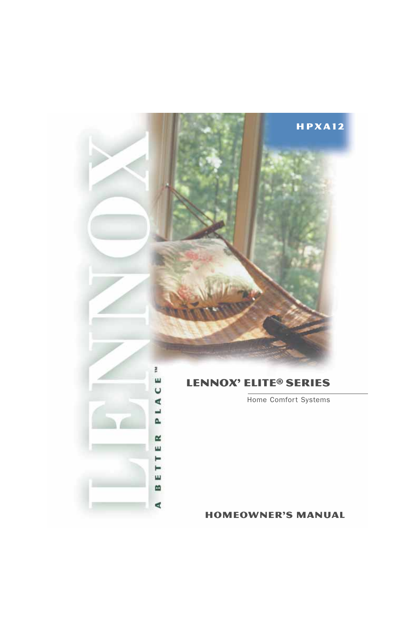# Lennox' Elite® SERIES

ř

C E

L A

A.

M ш

⊨ ⊨ ш

m

₫

Home Comfort Systems

homeowner's manual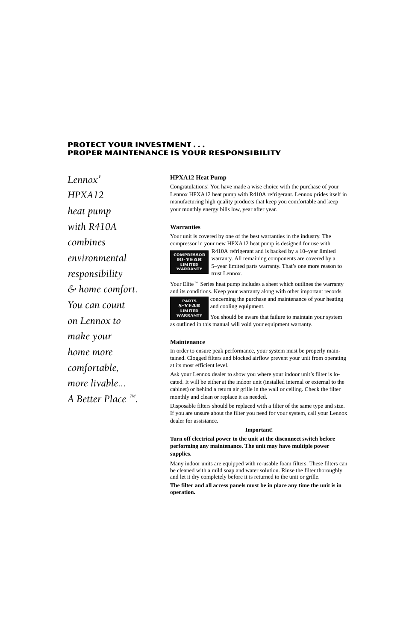# **PROTECT YOUR INVESTMENT...** PROPER MAINTENANCE IS YOUR RESPONSIBILITY

 $\frac{P}{P}$ корык $L$ еппох $\frac{P}{P}$ HPXA12 heat pump with R410A combines environmental responsibility  $\mathcal E$  home comfort. You can count on Lennox to make your home more comfortable, more livable... A Better Place  $\sqrt[m]{ }$ .

### **HPXA12 Heat Pump**

Congratulations! You have made a wise choice with the purchase of your Lennox HPXA12 heat pump with R410A refrigerant. Lennox prides itself in manufacturing high quality products that keep you comfortable and keep your monthly energy bills low, year after year.

### **Warranties**

Your unit is covered by one of the best warranties in the industry. The compressor in your new HPXA12 heat pump is designed for use with



R410A refrigerant and is backed by a 10–year limited warranty. All remaining components are covered by a 5–year limited parts warranty. That's one more reason to trust Lennox.

Your Elite<sup> $M$ </sup> Series heat pump includes a sheet which outlines the warranty and its conditions. Keep your warranty along with other important records



concerning the purchase and maintenance of your heating and cooling equipment.

You should be aware that failure to maintain your system as outlined in this manual will void your equipment warranty.

### **Maintenance**

In order to ensure peak performance, your system must be properly maintained. Clogged filters and blocked airflow prevent your unit from operating at its most efficient level.

Ask your Lennox dealer to show you where your indoor unit's filter is located. It will be either at the indoor unit (installed internal or external to the cabinet) or behind a return air grille in the wall or ceiling. Check the filter monthly and clean or replace it as needed.

Disposable filters should be replaced with a filter of the same type and size. If you are unsure about the filter you need for your system, call your Lennox dealer for assistance.

### **Important!**

**Turn off electrical power to the unit at the disconnect switch before performing any maintenance. The unit may have multiple power supplies.**

Many indoor units are equipped with re-usable foam filters. These filters can be cleaned with a mild soap and water solution. Rinse the filter thoroughly and let it dry completely before it is returned to the unit or grille.

**The filter and all access panels must be in place any time the unit is in operation.**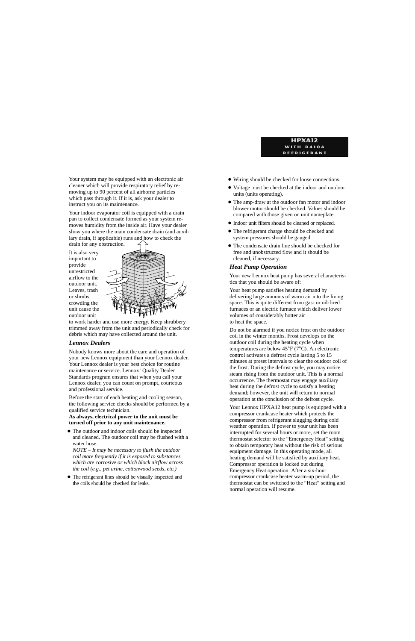Your system may be equipped with an electronic air cleaner which will provide respiratory relief by removing up to 90 percent of all airborne particles which pass through it. If it is, ask your dealer to instruct you on its maintenance.

Your indoor evaporator coil is equipped with a drain pan to collect condensate formed as your system removes humidity from the inside air. Have your dealer show you where the main condensate drain (and auxiliary drain, if applicable) runs and how to check the drain for any obstruction.

It is also very important to provide unrestricted airflow to the outdoor unit. Leaves, trash or shrubs crowding the unit cause the outdoor unit



to work harder and use more energy. Keep shrubbery trimmed away from the unit and periodically check for debris which may have collected around the unit.

# *Lennox Dealers*

Nobody knows more about the care and operation of your new Lennox equipment than your Lennox dealer. Your Lennox dealer is your best choice for routine maintenance or service. Lennox' Quality Dealer Standards program ensures that when you call your Lennox dealer, you can count on prompt, courteous and professional service.

Before the start of each heating and cooling season, the following service checks should be performed by a qualified service technician.

### **As always, electrical power to the unit must be turned off prior to any unit maintenance.**

- The outdoor and indoor coils should be inspected and cleaned. The outdoor coil may be flushed with a water hose.

*NOTE – It may be necessary to flush the outdoor coil more frequently if it is exposed to substances which are corrosive or which block airflow across the coil (e.g., pet urine, cottonwood seeds, etc.)*

- The refrigerant lines should be visually inspected and the coils should be checked for leaks.

- Wiring should be checked for loose connections.
- Voltage must be checked at the indoor and outdoor units (units operating).
- The amp-draw at the outdoor fan motor and indoor blower motor should be checked. Values should be compared with those given on unit nameplate.
- Indoor unit filters should be cleaned or replaced.
- The refrigerant charge should be checked and system pressures should be gauged.
- The condensate drain line should be checked for free and unobstructed flow and it should be cleaned, if necessary.

## *Heat Pump Operation*

Your new Lennox heat pump has several characteristics that you should be aware of:

Your heat pump satisfies heating demand by delivering large amounts of warm air into the living space. This is quite different from gas- or oil-fired furnaces or an electric furnace which deliver lower volumes of considerably hotter air to heat the space.

Do not be alarmed if you notice frost on the outdoor coil in the winter months. Frost develops on the outdoor coil during the heating cycle when temperatures are below 45°F (7°C). An electronic control activates a defrost cycle lasting 5 to 15 minutes at preset intervals to clear the outdoor coil of the frost. During the defrost cycle, you may notice steam rising from the outdoor unit. This is a normal occurrence. The thermostat may engage auxiliary heat during the defrost cycle to satisfy a heating demand; however, the unit will return to normal operation at the conclusion of the defrost cycle.

Your Lennox HPXA12 heat pump is equipped with a compressor crankcase heater which protects the compressor from refrigerant slugging during cold weather operation. If power to your unit has been interrupted for several hours or more, set the room thermostat selector to the "Emergency Heat" setting to obtain temporary heat without the risk of serious equipment damage. In this operating mode, all heating demand will be satisfied by auxiliary heat. Compressor operation is locked out during Emergency Heat operation. After a six-hour compressor crankcase heater warm-up period, the thermostat can be switched to the "Heat" setting and normal operation will resume.